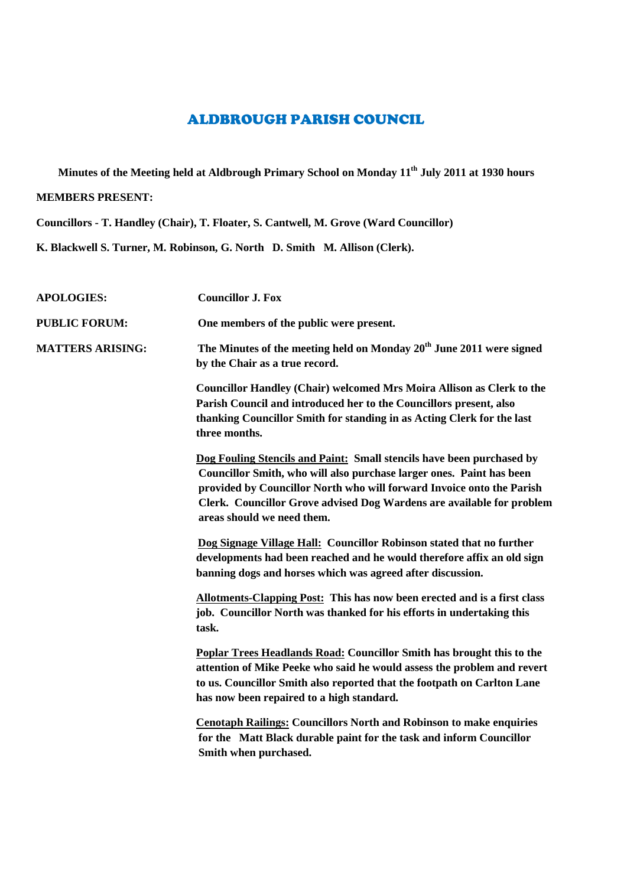## ALDBROUGH PARISH COUNCIL

**Minutes of the Meeting held at Aldbrough Primary School on Monday 11th July 2011 at 1930 hours**

## **MEMBERS PRESENT:**

**Councillors - T. Handley (Chair), T. Floater, S. Cantwell, M. Grove (Ward Councillor)**

**K. Blackwell S. Turner, M. Robinson, G. North D. Smith M. Allison (Clerk).**

| <b>APOLOGIES:</b>       | <b>Councillor J. Fox</b>                                                                                                                                                                                                                                                                                                      |
|-------------------------|-------------------------------------------------------------------------------------------------------------------------------------------------------------------------------------------------------------------------------------------------------------------------------------------------------------------------------|
| <b>PUBLIC FORUM:</b>    | One members of the public were present.                                                                                                                                                                                                                                                                                       |
| <b>MATTERS ARISING:</b> | The Minutes of the meeting held on Monday 20 <sup>th</sup> June 2011 were signed<br>by the Chair as a true record.                                                                                                                                                                                                            |
|                         | <b>Councillor Handley (Chair) welcomed Mrs Moira Allison as Clerk to the</b><br>Parish Council and introduced her to the Councillors present, also<br>thanking Councillor Smith for standing in as Acting Clerk for the last<br>three months.                                                                                 |
|                         | Dog Fouling Stencils and Paint: Small stencils have been purchased by<br>Councillor Smith, who will also purchase larger ones. Paint has been<br>provided by Councillor North who will forward Invoice onto the Parish<br>Clerk. Councillor Grove advised Dog Wardens are available for problem<br>areas should we need them. |
|                         | Dog Signage Village Hall: Councillor Robinson stated that no further<br>developments had been reached and he would therefore affix an old sign<br>banning dogs and horses which was agreed after discussion.                                                                                                                  |
|                         | Allotments-Clapping Post: This has now been erected and is a first class<br>job. Councillor North was thanked for his efforts in undertaking this<br>task.                                                                                                                                                                    |
|                         | <b>Poplar Trees Headlands Road: Councillor Smith has brought this to the</b><br>attention of Mike Peeke who said he would assess the problem and revert<br>to us. Councillor Smith also reported that the footpath on Carlton Lane<br>has now been repaired to a high standard.                                               |
|                         | <b>Cenotaph Railings: Councillors North and Robinson to make enquiries</b><br>for the Matt Black durable paint for the task and inform Councillor<br>Smith when purchased.                                                                                                                                                    |
|                         |                                                                                                                                                                                                                                                                                                                               |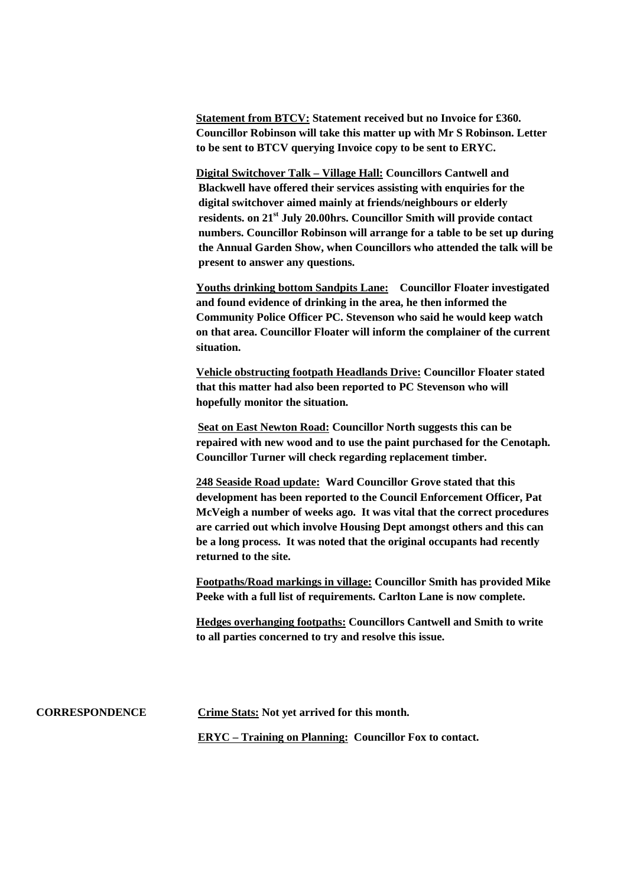**Statement from BTCV: Statement received but no Invoice for £360. Councillor Robinson will take this matter up with Mr S Robinson. Letter to be sent to BTCV querying Invoice copy to be sent to ERYC.**

**Digital Switchover Talk – Village Hall: Councillors Cantwell and Blackwell have offered their services assisting with enquiries for the digital switchover aimed mainly at friends/neighbours or elderly residents. on 21st July 20.00hrs. Councillor Smith will provide contact numbers. Councillor Robinson will arrange for a table to be set up during the Annual Garden Show, when Councillors who attended the talk will be present to answer any questions.**

**Youths drinking bottom Sandpits Lane: Councillor Floater investigated and found evidence of drinking in the area, he then informed the Community Police Officer PC. Stevenson who said he would keep watch on that area. Councillor Floater will inform the complainer of the current situation.**

**Vehicle obstructing footpath Headlands Drive: Councillor Floater stated that this matter had also been reported to PC Stevenson who will hopefully monitor the situation.**

**Seat on East Newton Road: Councillor North suggests this can be repaired with new wood and to use the paint purchased for the Cenotaph. Councillor Turner will check regarding replacement timber.**

**248 Seaside Road update: Ward Councillor Grove stated that this development has been reported to the Council Enforcement Officer, Pat McVeigh a number of weeks ago. It was vital that the correct procedures are carried out which involve Housing Dept amongst others and this can be a long process. It was noted that the original occupants had recently returned to the site.**

**Footpaths/Road markings in village: Councillor Smith has provided Mike Peeke with a full list of requirements. Carlton Lane is now complete.**

**Hedges overhanging footpaths: Councillors Cantwell and Smith to write to all parties concerned to try and resolve this issue.**

**CORRESPONDENCE Crime Stats: Not yet arrived for this month. ERYC – Training on Planning: Councillor Fox to contact.**